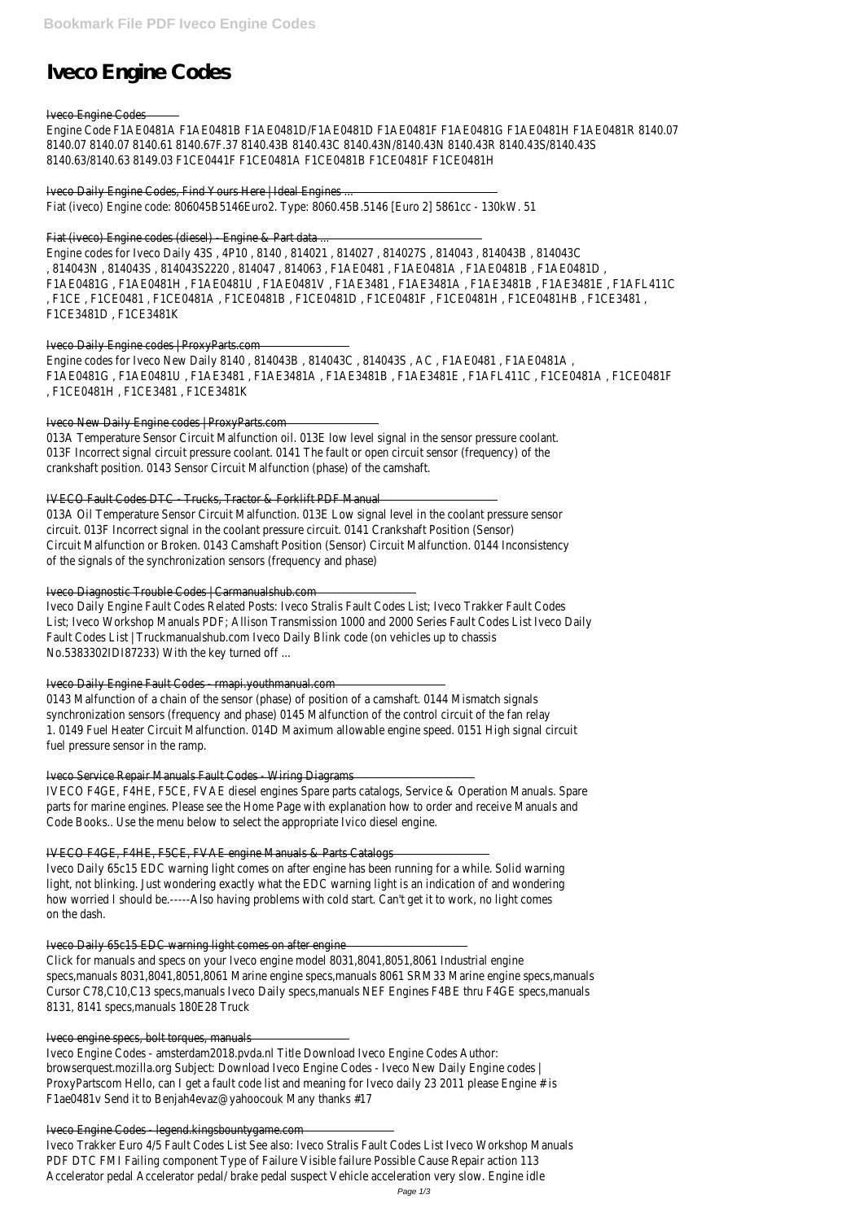# **Iveco Engine Codes**

### Iveco Engine Codes

Engine Code F1AE0481A F1AE0481B F1AE0481D/F1AE0481D F1AE0481F F1AE0481G F1AE0481H F1AE0481R 8140.07 8140.07 8140.07 8140.61 8140.67F.37 8140.43B 8140.43C 8140.43N/8140.43N 8140.43R 8140.43S/8140.43S 8140.63/8140.63 8149.03 F1CE0441F F1CE0481A F1CE0481B F1CE0481F F1CE0481H

### Iveco Daily Engine Codes, Find Yours Here | Ideal Engines ...

Fiat (iveco) Engine code: 806045B5146Euro2. Type: 8060.45B.5146 [Euro 2] 5861cc - 130kW. 51

Fiat (iveco) Engine codes (diesel) - Engine & Part data

Engine codes for Iveco Daily 43S, 4P10, 8140, 814021, 814027, 814027S, 814043, 814043B, 814043C , 814043N , 814043S , 814043S2220 , 814047 , 814063 , F1AE0481 , F1AE0481A , F1AE0481B , F1AE0481D , F1AE0481G , F1AE0481H , F1AE0481U , F1AE0481V , F1AE3481 , F1AE3481A , F1AE3481B , F1AE3481E , F1AFL411C , F1CE , F1CE0481 , F1CE0481A , F1CE0481B , F1CE0481D , F1CE0481F , F1CE0481H , F1CE0481HB , F1CE3481 , F1CE3481D , F1CE3481K

Engine codes for Iveco New Daily 8140, 814043B, 814043C, 814043S, AC, F1AE0481, F1AE0481A, F1AE0481G , F1AE0481U , F1AE3481 , F1AE3481A , F1AE3481B , F1AE3481E , F1AFL411C , F1CE0481A , F1CE0481F , F1CE0481H , F1CE3481 , F1CE3481K

### Iveco Daily Engine codes | ProxyParts.com

### Iveco New Daily Engine codes | ProxyParts.com

013A Temperature Sensor Circuit Malfunction oil. 013E low level signal in the sensor pressure coolant. 013F Incorrect signal circuit pressure coolant. 0141 The fault or open circuit sensor (frequency) of the crankshaft position. 0143 Sensor Circuit Malfunction (phase) of the camshaft.

### IVECO Fault Codes DTC - Trucks, Tractor & Forklift PDF Manual

013A Oil Temperature Sensor Circuit Malfunction. 013E Low signal level in the coolant pressure sensor circuit. 013F Incorrect signal in the coolant pressure circuit. 0141 Crankshaft Position (Sensor) Circuit Malfunction or Broken. 0143 Camshaft Position (Sensor) Circuit Malfunction. 0144 Inconsistency of the signals of the synchronization sensors (frequency and phase)

Iveco Diagnostic Trouble Codes | Carmanualshub.com

Iveco Daily Engine Fault Codes Related Posts: Iveco Stralis Fault Codes List; Iveco Trakker Fault Codes List; Iveco Workshop Manuals PDF; Allison Transmission 1000 and 2000 Series Fault Codes List Iveco Daily Fault Codes List | Truckmanualshub.com Iveco Daily Blink code (on vehicles up to chassis No.5383302IDI87233) With the key turned off ...

Iveco Daily Engine Fault Codes - rmapi.youthmanual.com

0143 Malfunction of a chain of the sensor (phase) of position of a camshaft. 0144 Mismatch signals synchronization sensors (frequency and phase) 0145 Malfunction of the control circuit of the fan relay 1. 0149 Fuel Heater Circuit Malfunction. 014D Maximum allowable engine speed. 0151 High signal circuit fuel pressure sensor in the ramp.

Iveco Service Repair Manuals Fault Codes - Wiring Diagrams

IVECO F4GE, F4HE, F5CE, FVAE diesel engines Spare parts catalogs, Service & Operation Manuals. Spare parts for marine engines. Please see the Home Page with explanation how to order and receive Manuals and Code Books.. Use the menu below to select the appropriate Ivico diesel engine.

# IVECO F4GE, F4HE, F5CE, FVAE engine Manuals & Parts Catalogs

Iveco Daily 65c15 EDC warning light comes on after engine has been running for a while. Solid warning light, not blinking. Just wondering exactly what the EDC warning light is an indication of and wondering how worried I should be.-----Also having problems with cold start. Can't get it to work, no light comes on the dash.

Iveco Daily 65c15 EDC warning light comes on after engine

Click for manuals and specs on your Iveco engine model 8031,8041,8051,8061 Industrial engine specs,manuals 8031,8041,8051,8061 Marine engine specs,manuals 8061 SRM33 Marine engine specs,manuals Cursor C78,C10,C13 specs,manuals Iveco Daily specs,manuals NEF Engines F4BE thru F4GE specs,manuals 8131, 8141 specs,manuals 180E28 Truck

Iveco engine specs, bolt torques, manuals

Iveco Engine Codes - amsterdam2018.pvda.nl Title Download Iveco Engine Codes Author: browserquest.mozilla.org Subject: Download Iveco Engine Codes - Iveco New Daily Engine codes | ProxyPartscom Hello, can I get a fault code list and meaning for Iveco daily 23 2011 please Engine # is F1ae0481v Send it to Benjah4evaz@yahoocouk Many thanks #17

### Iveco Engine Codes - legend.kingsbountygame.com

Iveco Trakker Euro 4/5 Fault Codes List See also: Iveco Stralis Fault Codes List Iveco Workshop Manuals PDF DTC FMI Failing component Type of Failure Visible failure Possible Cause Repair action 113 Accelerator pedal Accelerator pedal/ brake pedal suspect Vehicle acceleration very slow. Engine idle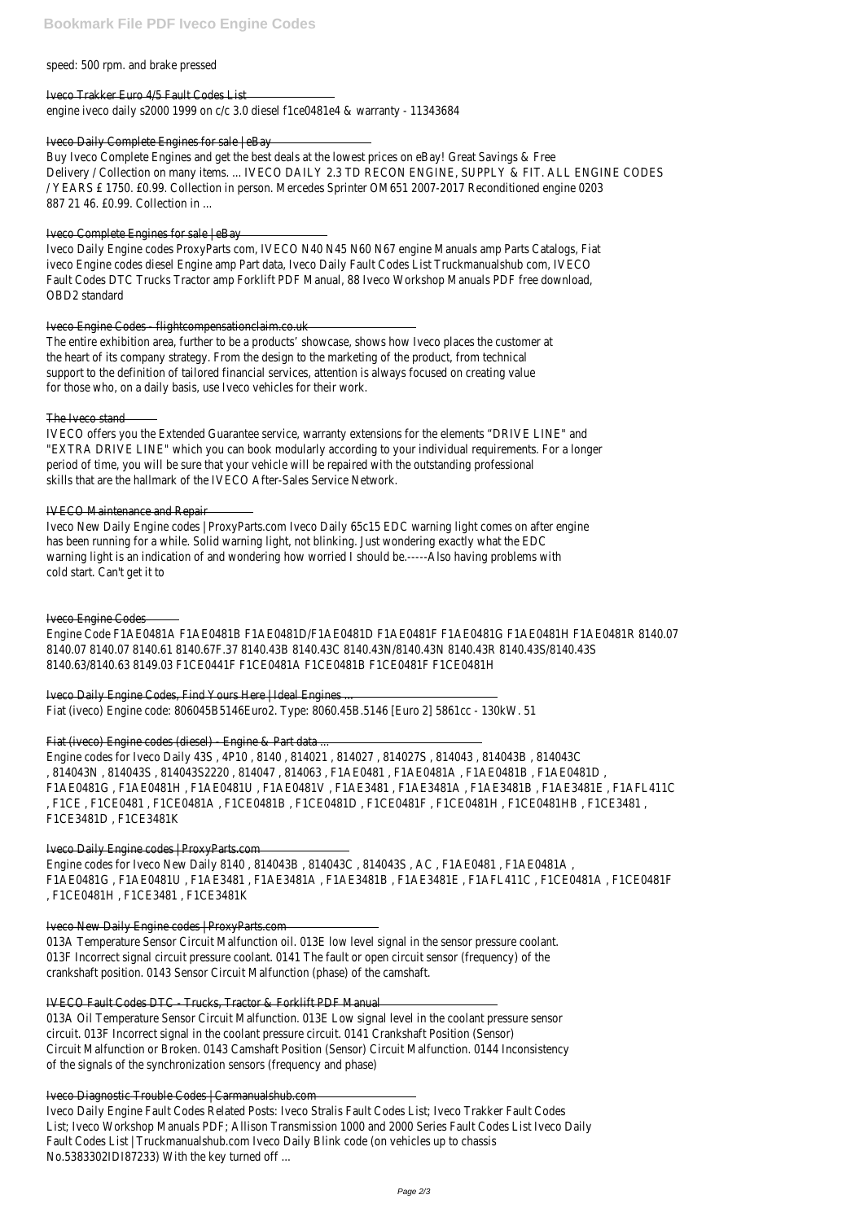speed: 500 rpm. and brake pressed

### Iveco Trakker Euro 4/5 Fault Codes List

engine iveco daily s2000 1999 on c/c 3.0 diesel f1ce0481e4 & warranty - 11343684

### Iveco Daily Complete Engines for sale | eBay

Buy Iveco Complete Engines and get the best deals at the lowest prices on eBay! Great Savings & Free Delivery / Collection on many items. ... IVECO DAILY 2.3 TD RECON ENGINE, SUPPLY & FIT. ALL ENGINE CODES / YEARS £ 1750. £0.99. Collection in person. Mercedes Sprinter OM651 2007-2017 Reconditioned engine 0203 887 21 46. £0.99. Collection in ...

### Iveco Complete Engines for sale | eBay

Iveco Daily Engine codes ProxyParts com, IVECO N40 N45 N60 N67 engine Manuals amp Parts Catalogs, Fiat iveco Engine codes diesel Engine amp Part data, Iveco Daily Fault Codes List Truckmanualshub com, IVECO Fault Codes DTC Trucks Tractor amp Forklift PDF Manual, 88 Iveco Workshop Manuals PDF free download, OBD2 standard

### Iveco Engine Codes - flightcompensationclaim.co.uk

The entire exhibition area, further to be a products' showcase, shows how Iveco places the customer at the heart of its company strategy. From the design to the marketing of the product, from technical support to the definition of tailored financial services, attention is always focused on creating value for those who, on a daily basis, use Iveco vehicles for their work.

### The Iveco stand

IVECO offers you the Extended Guarantee service, warranty extensions for the elements "DRIVE LINE" and "EXTRA DRIVE LINE" which you can book modularly according to your individual requirements. For a longer period of time, you will be sure that your vehicle will be repaired with the outstanding professional skills that are the hallmark of the IVECO After-Sales Service Network.

Engine codes for Iveco New Daily 8140, 814043B, 814043C, 814043S, AC, F1AE0481, F1AE0481A, F1AE0481G , F1AE0481U , F1AE3481 , F1AE3481A , F1AE3481B , F1AE3481E , F1AFL411C , F1CE0481A , F1CE0481F , F1CE0481H , F1CE3481 , F1CE3481K

### IVECO Maintenance and Repair

Iveco New Daily Engine codes | ProxyParts.com Iveco Daily 65c15 EDC warning light comes on after engine has been running for a while. Solid warning light, not blinking. Just wondering exactly what the EDC warning light is an indication of and wondering how worried I should be.-----Also having problems with cold start. Can't get it to

### Iveco Engine Codes

Engine Code F1AE0481A F1AE0481B F1AE0481D/F1AE0481D F1AE0481F F1AE0481G F1AE0481H F1AE0481R 8140.07 8140.07 8140.07 8140.61 8140.67F.37 8140.43B 8140.43C 8140.43N/8140.43N 8140.43R 8140.43S/8140.43S 8140.63/8140.63 8149.03 F1CE0441F F1CE0481A F1CE0481B F1CE0481F F1CE0481H

Iveco Daily Engine Codes, Find Yours Here | Ideal Engines ... Fiat (iveco) Engine code: 806045B5146Euro2. Type: 8060.45B.5146 [Euro 2] 5861cc - 130kW. 51

### Fiat (iveco) Engine codes (diesel) - Engine & Part data ...

Engine codes for Iveco Daily 43S , 4P10 , 8140 , 814021 , 814027 , 814027S , 814043 , 814043B , 814043C , 814043N , 814043S , 814043S2220 , 814047 , 814063 , F1AE0481 , F1AE0481A , F1AE0481B , F1AE0481D , F1AE0481G , F1AE0481H , F1AE0481U , F1AE0481V , F1AE3481 , F1AE3481A , F1AE3481B , F1AE3481E , F1AFL411C , F1CE , F1CE0481 , F1CE0481A , F1CE0481B , F1CE0481D , F1CE0481F , F1CE0481H , F1CE0481HB , F1CE3481 , F1CE3481D , F1CE3481K

# Iveco Daily Engine codes | ProxyParts.com

### Iveco New Daily Engine codes | ProxyParts.com

013A Temperature Sensor Circuit Malfunction oil. 013E low level signal in the sensor pressure coolant. 013F Incorrect signal circuit pressure coolant. 0141 The fault or open circuit sensor (frequency) of the crankshaft position. 0143 Sensor Circuit Malfunction (phase) of the camshaft.

### IVECO Fault Codes DTC - Trucks, Tractor & Forklift PDF Manual

013A Oil Temperature Sensor Circuit Malfunction. 013E Low signal level in the coolant pressure sensor circuit. 013F Incorrect signal in the coolant pressure circuit. 0141 Crankshaft Position (Sensor) Circuit Malfunction or Broken. 0143 Camshaft Position (Sensor) Circuit Malfunction. 0144 Inconsistency of the signals of the synchronization sensors (frequency and phase)

### Iveco Diagnostic Trouble Codes | Carmanualshub.com

Iveco Daily Engine Fault Codes Related Posts: Iveco Stralis Fault Codes List; Iveco Trakker Fault Codes List; Iveco Workshop Manuals PDF; Allison Transmission 1000 and 2000 Series Fault Codes List Iveco Daily Fault Codes List | Truckmanualshub.com Iveco Daily Blink code (on vehicles up to chassis No.5383302IDI87233) With the key turned off ...